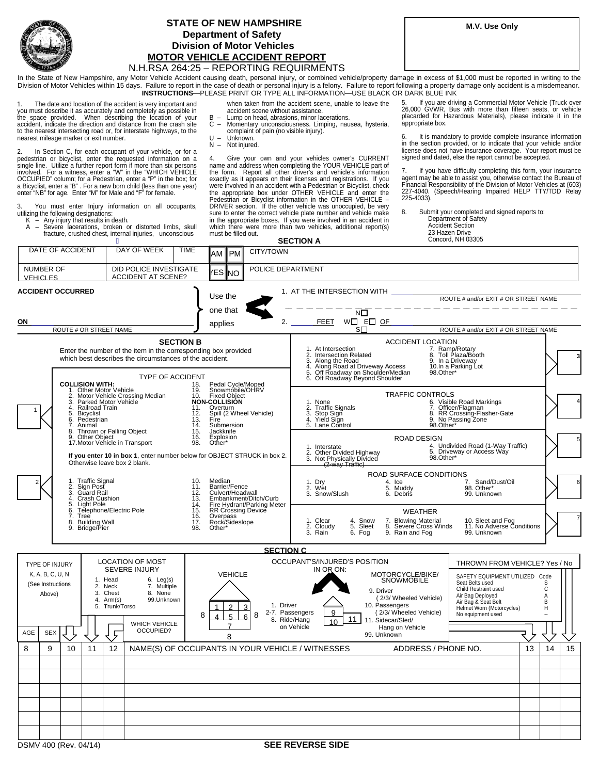

## **STATE OF NEW HAMPSHIRE** M.V. Use Only  **Department of Safety Division of Motor Vehicles MOTOR VEHICLE ACCIDENT REPORT**

## N.H.RSA 264:25 – REPORTING REQUIRMENTS

In the State of New Hampshire, any Motor Vehicle Accident causing death, personal injury, or combined vehicle/property damage in excess of \$1,000 must be reported in writing to the Division of Motor Vehicles within 15 days. Failure to report in the case of death or personal injury is a felony. Failure to report following a property damage only accident is a misdemeanor. **INSTRUCTIONS**—PLEASE PRINT OR TYPE ALL INFORMATION—USE BLACK OR DARK BLUE INK

 $\mathbf{1}$  nearest mileage marker or exit number. The date and location of the accident is very important and you must describe it as accurately and completely as possible in the space provided. When describing the location of your accident, indicate the direction and distance from the crash site to the nearest intersecting road or, for interstate highways, to the

 $\mathcal{P}$ pedestrian or bicyclist, enter the requested information on a<br>single line. Utilize a further report form if more than six persons<br>involved. For a witness, enter a "W" in the "WHICH VEHICLE<br>OCCUPIED" column; for a Pedestria In Section C, for each occupant of your vehicle, or for a

You must enter Injury information on all occupants, utilizing the following designations:

K – Any injury that results in death. A – Severe lacerations, broken or distorted limbs, skull fracture, crushed chest, internal injuries, unconscious

i. accident scene without assistance. when taken from the accident scene, unable to leave the<br>accident scene without assistance.

- B Lump on head, abrasions, minor lacerations.
- V  $\mathbf{r}$ C – Momentary unconsciousness. Limping, nausea, hysteria, complaint of pain (no visible injury).
- N Not injured. U – Unknown.

 4. Give your own and your vehicles owner's CURRENT name and address when completing the YOUR VEHICLE part of the form. Report all other driver's and vehicle's information exactly as it appears on their licenses and registrations. If you were involved in an accident with a Pedestrian or Bicyclist, check the appropriate box under OTHER VEHICLE and enter the Pedestrian or Bicyclist information in the OTHER VEHICLE – DRIVER section. If the other vehicle was unoccupied, be very sure to enter the correct vehicle plate number and vehicle make in the appropriate boxes. If you were involved in an accident in which there were more than two vehicles, additional report(s) must be filled out.

 5. If you are driving a Commercial Motor Vehicle (Truck over 26,000 GVWR, Bus with more than fifteen seats, or vehicle appropriate box. placarded for Hazardous Materials), please indicate it in the

6. It is mandatory to provide complete insurance information in the section provided, or to indicate that your vehicle and/or license does not have insurance coverage. Your report must be signed and dated, else the report cannot be accepted.

7. If you have difficulty completing this form, your insurance agent may be able to assist you, otherwise contact the Bureau of Financial Responsibility of the Division of Motor Vehicles at (603) 227-4040. (Speech/Hearing Impaired HELP TTY/TDD Relay 225-4033).

8. Submit your completed and signed reports to: Department of Safety Accident Section 23 Hazen Drive

| macture, crucifica cricet, internatinguitos,<br>DAY OF WEEK                                                                                                                                                                                                                                                                                                                                                                                                                   |             |                      | <b>SECTION A</b>                                                                                                                                                           |                                     |                                                                                                                                                                                                                                  |                                                                                                                                                                               | Concord, NH 03305                                                                                                                                                        |                                                                                                                                                                                                         |    |                       |    |  |
|-------------------------------------------------------------------------------------------------------------------------------------------------------------------------------------------------------------------------------------------------------------------------------------------------------------------------------------------------------------------------------------------------------------------------------------------------------------------------------|-------------|----------------------|----------------------------------------------------------------------------------------------------------------------------------------------------------------------------|-------------------------------------|----------------------------------------------------------------------------------------------------------------------------------------------------------------------------------------------------------------------------------|-------------------------------------------------------------------------------------------------------------------------------------------------------------------------------|--------------------------------------------------------------------------------------------------------------------------------------------------------------------------|---------------------------------------------------------------------------------------------------------------------------------------------------------------------------------------------------------|----|-----------------------|----|--|
| DATE OF ACCIDENT                                                                                                                                                                                                                                                                                                                                                                                                                                                              | <b>TIME</b> | CITY/TOWN<br>AM ∎PMI |                                                                                                                                                                            |                                     |                                                                                                                                                                                                                                  |                                                                                                                                                                               |                                                                                                                                                                          |                                                                                                                                                                                                         |    |                       |    |  |
| DID POLICE INVESTIGATE<br>NUMBER OF<br><b>ACCIDENT AT SCENE?</b><br><b>VEHICLES</b>                                                                                                                                                                                                                                                                                                                                                                                           |             |                      | ⁄ES NO                                                                                                                                                                     | POLICE DEPARTMENT                   |                                                                                                                                                                                                                                  |                                                                                                                                                                               |                                                                                                                                                                          |                                                                                                                                                                                                         |    |                       |    |  |
| <b>ACCIDENT OCCURRED</b>                                                                                                                                                                                                                                                                                                                                                                                                                                                      | Use the     |                      | 1. AT THE INTERSECTION WITH                                                                                                                                                |                                     |                                                                                                                                                                                                                                  | ROUTE # and/or EXIT # OR STREET NAME                                                                                                                                          |                                                                                                                                                                          |                                                                                                                                                                                                         |    |                       |    |  |
|                                                                                                                                                                                                                                                                                                                                                                                                                                                                               |             |                      | one that                                                                                                                                                                   |                                     |                                                                                                                                                                                                                                  | NΠ                                                                                                                                                                            |                                                                                                                                                                          |                                                                                                                                                                                                         |    |                       |    |  |
| ON<br>applies<br>ROUTE # OR STREET NAME                                                                                                                                                                                                                                                                                                                                                                                                                                       |             |                      |                                                                                                                                                                            | 2.<br><b>FEET</b><br>W□ E□ OF<br>sП |                                                                                                                                                                                                                                  |                                                                                                                                                                               | ROUTE # and/or EXIT # OR STREET NAME                                                                                                                                     |                                                                                                                                                                                                         |    |                       |    |  |
| <b>SECTION B</b><br>Enter the number of the item in the corresponding box provided<br>which best describes the circumstances of the accident.<br><b>TYPE OF ACCIDENT</b>                                                                                                                                                                                                                                                                                                      |             |                      |                                                                                                                                                                            |                                     | 1. At Intersection                                                                                                                                                                                                               | 1. At intersection<br>2. Intersection Related<br>3. Along the Road<br>4. Along Road at Driveway Access<br>5. Off Roadway on Shoulder/Median<br>6. Off Roadway Beyond Shoulder | <b>ACCIDENT LOCATION</b><br>98.Other*                                                                                                                                    | 7. Ramp/Rotary<br>8. Toll Plaza/Booth<br>9. In a Driveway<br>10.In a Parking Lot                                                                                                                        |    |                       |    |  |
| <b>COLLISION WITH:</b><br>18.<br>Other Motor Vehicle<br>19.<br>Motor Vehicle Crossing Median<br>2.<br>$\overline{3}$ .<br>Parked Motor Vehicle<br>4. Railroad Train<br>11.<br>5. Bicyclist<br>12.<br>Pedestrian<br>6.<br>13.<br>7.<br>14.<br>Animal<br>Thrown or Falling Object<br>8.<br>15.<br>Other Object<br>16.<br>g<br>17. Motor Vehicle in Transport<br>98.<br>If you enter 10 in box 1, enter number below for OBJECT STRUCK in box 2.<br>Otherwise leave box 2 blank. |             |                      | Pedal Cycle/Moped<br>Snowmobile/OHRV<br>10. Fixed Object<br>NON-COLLISION<br>Overturn<br>Spill (2 Wheel Vehicle)<br>Fire<br>Submersion<br>Jackknife<br>Explosion<br>Other* |                                     | <b>TRAFFIC CONTROLS</b><br>6. Visible Road Markings<br>7. Officer/Flagman<br>1. None<br>2. Traffic Signals<br>3. Stop Sign<br>4. Yield Sign<br>5. Lane Control<br>8. RR Crossing-Flasher-Gate<br>9. No Passing Zone<br>98.Other* |                                                                                                                                                                               |                                                                                                                                                                          |                                                                                                                                                                                                         |    |                       |    |  |
|                                                                                                                                                                                                                                                                                                                                                                                                                                                                               |             |                      |                                                                                                                                                                            |                                     | <b>ROAD DESIGN</b><br>4. Undivided Road (1-Way Traffic)<br>5. Driveway or Access Way<br>1. Interstate<br>2. Other Divided Highway<br>3. Not Physically Divided<br>98.Other*<br><u>(2-way Traffic)</u>                            |                                                                                                                                                                               |                                                                                                                                                                          |                                                                                                                                                                                                         |    |                       |    |  |
| 1. Traffic Signal<br>10.<br>Sign Post<br>$\frac{2}{3}$ .<br>11.<br>Guard Rail<br>12.<br>4.<br>Crash Cushion<br>Light Pole<br>$\frac{15}{14}$<br>5.<br>Telephone/Electric Pole<br>6.<br>15.<br>$\frac{16}{17}$ .<br>7.<br>Tree<br>8. Building Wall<br>9. Bridge/Pier<br>98.                                                                                                                                                                                                    |             |                      | Median<br>Barrier/Fence<br>Culvert/Headwall<br>Embankment/Ditch/Curb<br>Fire Hydrant/Parking Meter<br>RR Crossing Device                                                   | 1. Dry<br>2. Wet<br>3. Snow/Slush   |                                                                                                                                                                                                                                  | ROAD SURFACE CONDITIONS<br>4. Ice<br>5. Muddy<br>6. Debris                                                                                                                    | Sand/Dust/Oil<br>7.<br>Other*<br>98.<br>99. Unknown                                                                                                                      |                                                                                                                                                                                                         |    |                       |    |  |
|                                                                                                                                                                                                                                                                                                                                                                                                                                                                               |             |                      | Overpass<br>Rock/Sideslope<br>Other*                                                                                                                                       |                                     | 1. Clear<br>2. Cloudy<br>3. Rain                                                                                                                                                                                                 | 4. Snow<br>5. Sleet<br>6. Fog                                                                                                                                                 | <b>WEATHER</b><br>7. Blowing Material<br>8. Severe Cross Winds<br>9. Rain and Fog                                                                                        | 10. Sleet and Fog<br>11. No Adverse Conditions<br>99. Unknown                                                                                                                                           |    |                       |    |  |
|                                                                                                                                                                                                                                                                                                                                                                                                                                                                               |             |                      |                                                                                                                                                                            | <b>SECTION C</b>                    |                                                                                                                                                                                                                                  |                                                                                                                                                                               |                                                                                                                                                                          |                                                                                                                                                                                                         |    |                       |    |  |
| <b>LOCATION OF MOST</b><br>TYPE OF INJURY<br><b>SEVERE INJURY</b><br>K, A, B, C, U, N<br><b>VEHICLE</b><br>1. Head<br>$6.$ Leg(s)<br>(See Instructions<br>7. Multiple<br>2. Neck<br>3. Chest<br>8. None<br>Above)<br>99.Unknown<br>4. Arm(s)<br>5. Trunk/Torso<br>$\mathfrak{D}$<br>8<br>5<br>WHICH VEHICLE<br>OCCUPIED?<br>AGE<br><b>SEX</b><br>ç<br>8                                                                                                                       |             |                      |                                                                                                                                                                            | 1. Driver<br>3<br>8<br>6            | OCCUPANT'S/INJURED'S POSITION<br>IN OR ON:<br>2-7. Passengers<br>9<br>8. Ride/Hang<br>10<br>on Vehicle                                                                                                                           | 11                                                                                                                                                                            | MOTORCYCLE/BIKE/<br>SNOWMOBILE<br>9. Driver<br>(2/3/ Wheeled Vehicle)<br>10. Passengers<br>(2/3/ Wheeled Vehicle)<br>11. Sidecar/Sled/<br>Hang on Vehicle<br>99. Unknown | THROWN FROM VEHICLE? Yes / No<br>SAFETY EQUIPMENT UTILIZED Code<br>Seat Belts used<br>Child Restraint used<br>Air Bag Deployed<br>Air Bag & Seat Belt<br>Helmet Worn (Motorcycles)<br>No equipment used |    | S<br>č<br>A<br>B<br>н |    |  |
| 8<br>9<br>11<br>10                                                                                                                                                                                                                                                                                                                                                                                                                                                            | 12          |                      |                                                                                                                                                                            |                                     | NAME(S) OF OCCUPANTS IN YOUR VEHICLE / WITNESSES                                                                                                                                                                                 |                                                                                                                                                                               | ADDRESS / PHONE NO.                                                                                                                                                      |                                                                                                                                                                                                         | 13 | 14                    | 15 |  |
|                                                                                                                                                                                                                                                                                                                                                                                                                                                                               |             |                      |                                                                                                                                                                            |                                     |                                                                                                                                                                                                                                  |                                                                                                                                                                               |                                                                                                                                                                          |                                                                                                                                                                                                         |    |                       |    |  |
|                                                                                                                                                                                                                                                                                                                                                                                                                                                                               |             |                      |                                                                                                                                                                            |                                     |                                                                                                                                                                                                                                  |                                                                                                                                                                               |                                                                                                                                                                          |                                                                                                                                                                                                         |    |                       |    |  |
|                                                                                                                                                                                                                                                                                                                                                                                                                                                                               |             |                      |                                                                                                                                                                            |                                     |                                                                                                                                                                                                                                  |                                                                                                                                                                               |                                                                                                                                                                          |                                                                                                                                                                                                         |    |                       |    |  |
|                                                                                                                                                                                                                                                                                                                                                                                                                                                                               |             |                      |                                                                                                                                                                            |                                     |                                                                                                                                                                                                                                  |                                                                                                                                                                               |                                                                                                                                                                          |                                                                                                                                                                                                         |    |                       |    |  |
|                                                                                                                                                                                                                                                                                                                                                                                                                                                                               |             |                      |                                                                                                                                                                            |                                     |                                                                                                                                                                                                                                  |                                                                                                                                                                               |                                                                                                                                                                          |                                                                                                                                                                                                         |    |                       |    |  |
|                                                                                                                                                                                                                                                                                                                                                                                                                                                                               |             |                      |                                                                                                                                                                            |                                     |                                                                                                                                                                                                                                  |                                                                                                                                                                               |                                                                                                                                                                          |                                                                                                                                                                                                         |    |                       |    |  |
| DSMV 400 (Rev. 04/14)                                                                                                                                                                                                                                                                                                                                                                                                                                                         |             |                      |                                                                                                                                                                            |                                     | <b>SEE REVERSE SIDE</b>                                                                                                                                                                                                          |                                                                                                                                                                               |                                                                                                                                                                          |                                                                                                                                                                                                         |    |                       |    |  |